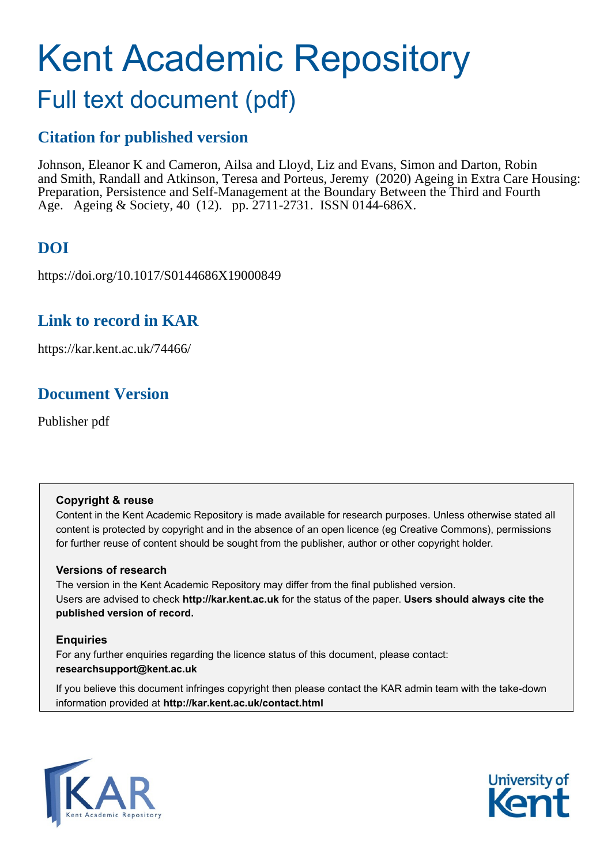# Kent Academic Repository

## Full text document (pdf)

## **Citation for published version**

Johnson, Eleanor K and Cameron, Ailsa and Lloyd, Liz and Evans, Simon and Darton, Robin and Smith, Randall and Atkinson, Teresa and Porteus, Jeremy (2020) Ageing in Extra Care Housing: Preparation, Persistence and Self-Management at the Boundary Between the Third and Fourth Age. Ageing & Society, 40 (12). pp. 2711-2731. ISSN 0144-686X.

## **DOI**

https://doi.org/10.1017/S0144686X19000849

## **Link to record in KAR**

https://kar.kent.ac.uk/74466/

## **Document Version**

Publisher pdf

#### **Copyright & reuse**

Content in the Kent Academic Repository is made available for research purposes. Unless otherwise stated all content is protected by copyright and in the absence of an open licence (eg Creative Commons), permissions for further reuse of content should be sought from the publisher, author or other copyright holder.

#### **Versions of research**

The version in the Kent Academic Repository may differ from the final published version. Users are advised to check **http://kar.kent.ac.uk** for the status of the paper. **Users should always cite the published version of record.**

#### **Enquiries**

For any further enquiries regarding the licence status of this document, please contact: **researchsupport@kent.ac.uk**

If you believe this document infringes copyright then please contact the KAR admin team with the take-down information provided at **http://kar.kent.ac.uk/contact.html**



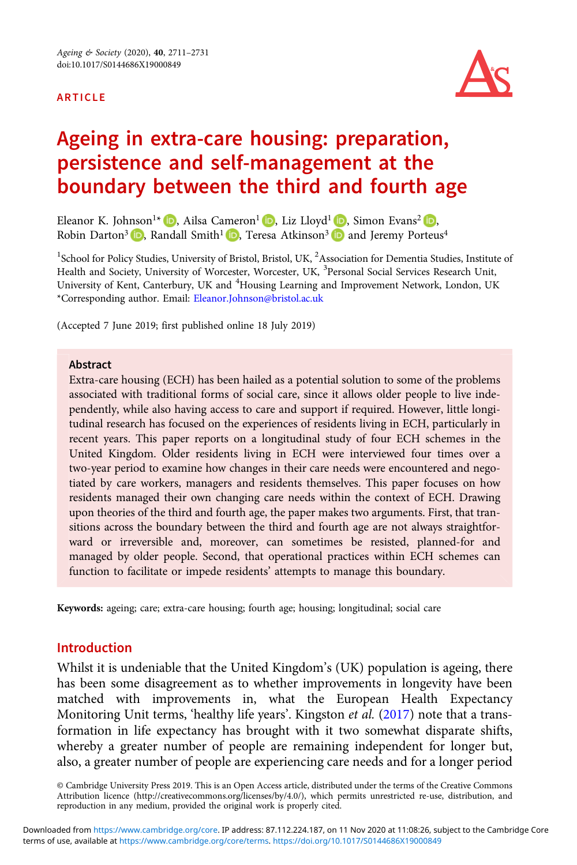#### ARTICLE



### Ageing in extra-care housing: preparation, persistence and self-management at the boundary between the third and fourth age

Eleanor K. Johnson<sup>1\*</sup> **D**[,](https://orcid.org/0000-0002-2919-8167) Ailsa Cameron<sup>1</sup> **D**, Liz Lloyd<sup>1</sup> **D**, Simon Evans<sup>2</sup> **D**, Robin Darton<sup>3</sup>  $\Box$ , Randall Smith<sup>1</sup>  $\Box$ , Teresa Atkinson<sup>3</sup>  $\Box$  and Jeremy Porteus<sup>4</sup>

<sup>1</sup>School for Policy Studies, University of Bristol, Bristol, UK, <sup>2</sup>Association for Dementia Studies, Institute of Health and Society, University of Worcester, Worcester, UK, <sup>3</sup>Personal Social Services Research Unit, University of Kent, Canterbury, UK and <sup>4</sup>Housing Learning and Improvement Network, London, UK \*Corresponding author. Email: [Eleanor.Johnson@bristol.ac.uk](mailto:Eleanor.Johnson@bristol.ac.uk)

(Accepted 7 June 2019; first published online 18 July 2019)

#### Abstract

Extra-care housing (ECH) has been hailed as a potential solution to some of the problems associated with traditional forms of social care, since it allows older people to live independently, while also having access to care and support if required. However, little longitudinal research has focused on the experiences of residents living in ECH, particularly in recent years. This paper reports on a longitudinal study of four ECH schemes in the United Kingdom. Older residents living in ECH were interviewed four times over a two-year period to examine how changes in their care needs were encountered and negotiated by care workers, managers and residents themselves. This paper focuses on how residents managed their own changing care needs within the context of ECH. Drawing upon theories of the third and fourth age, the paper makes two arguments. First, that transitions across the boundary between the third and fourth age are not always straightforward or irreversible and, moreover, can sometimes be resisted, planned-for and managed by older people. Second, that operational practices within ECH schemes can function to facilitate or impede residents' attempts to manage this boundary.

Keywords: ageing; care; extra-care housing; fourth age; housing; longitudinal; social care

#### Introduction

Whilst it is undeniable that the United Kingdom's (UK) population is ageing, there has been some disagreement as to whether improvements in longevity have been matched with improvements in, what the European Health Expectancy Monitoring Unit terms, 'healthy life years'. Kingston et al. (2017) note that a transformation in life expectancy has brought with it two somewhat disparate shifts, whereby a greater number of people are remaining independent for longer but, also, a greater number of people are experiencing care needs and for a longer period

© Cambridge University Press 2019. This is an Open Access article, distributed under the terms of the Creative Commons Attribution licence (http://creativecommons.org/licenses/by/4.0/), which permits unrestricted re-use, distribution, and reproduction in any medium, provided the original work is properly cited.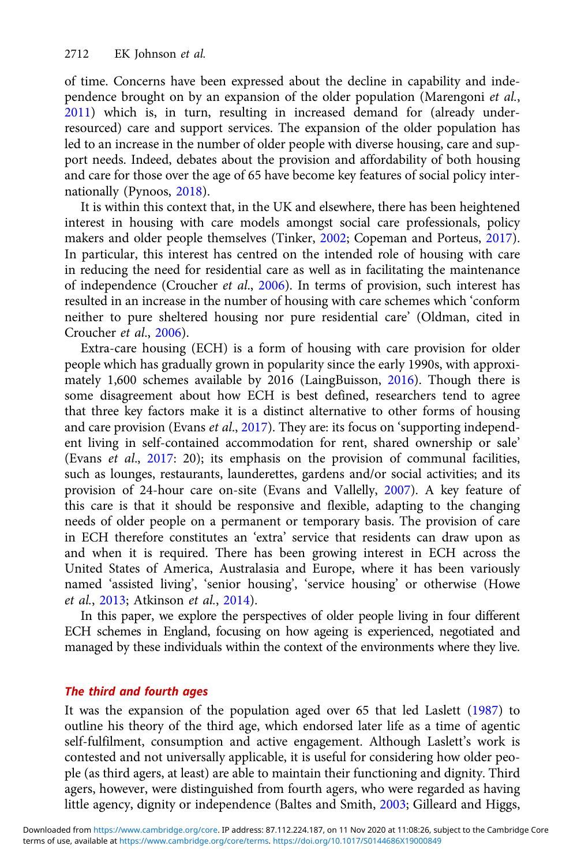of time. Concerns have been expressed about the decline in capability and independence brought on by an expansion of the older population (Marengoni et al., 2011) which is, in turn, resulting in increased demand for (already underresourced) care and support services. The expansion of the older population has led to an increase in the number of older people with diverse housing, care and support needs. Indeed, debates about the provision and affordability of both housing and care for those over the age of 65 have become key features of social policy internationally (Pynoos, 2018).

It is within this context that, in the UK and elsewhere, there has been heightened interest in housing with care models amongst social care professionals, policy makers and older people themselves (Tinker, 2002; Copeman and Porteus, 2017). In particular, this interest has centred on the intended role of housing with care in reducing the need for residential care as well as in facilitating the maintenance of independence (Croucher et al., 2006). In terms of provision, such interest has resulted in an increase in the number of housing with care schemes which 'conform neither to pure sheltered housing nor pure residential care' (Oldman, cited in Croucher et al., 2006).

Extra-care housing (ECH) is a form of housing with care provision for older people which has gradually grown in popularity since the early 1990s, with approximately 1,600 schemes available by 2016 (LaingBuisson, 2016). Though there is some disagreement about how ECH is best defined, researchers tend to agree that three key factors make it is a distinct alternative to other forms of housing and care provision (Evans et al., 2017). They are: its focus on 'supporting independent living in self-contained accommodation for rent, shared ownership or sale' (Evans et al., 2017: 20); its emphasis on the provision of communal facilities, such as lounges, restaurants, launderettes, gardens and/or social activities; and its provision of 24-hour care on-site (Evans and Vallelly, 2007). A key feature of this care is that it should be responsive and flexible, adapting to the changing needs of older people on a permanent or temporary basis. The provision of care in ECH therefore constitutes an 'extra' service that residents can draw upon as and when it is required. There has been growing interest in ECH across the United States of America, Australasia and Europe, where it has been variously named 'assisted living', 'senior housing', 'service housing' or otherwise (Howe et al., 2013; Atkinson et al., 2014).

In this paper, we explore the perspectives of older people living in four different ECH schemes in England, focusing on how ageing is experienced, negotiated and managed by these individuals within the context of the environments where they live.

#### The third and fourth ages

It was the expansion of the population aged over 65 that led Laslett (1987) to outline his theory of the third age, which endorsed later life as a time of agentic self-fulfilment, consumption and active engagement. Although Laslett's work is contested and not universally applicable, it is useful for considering how older people (as third agers, at least) are able to maintain their functioning and dignity. Third agers, however, were distinguished from fourth agers, who were regarded as having little agency, dignity or independence (Baltes and Smith, 2003; Gilleard and Higgs,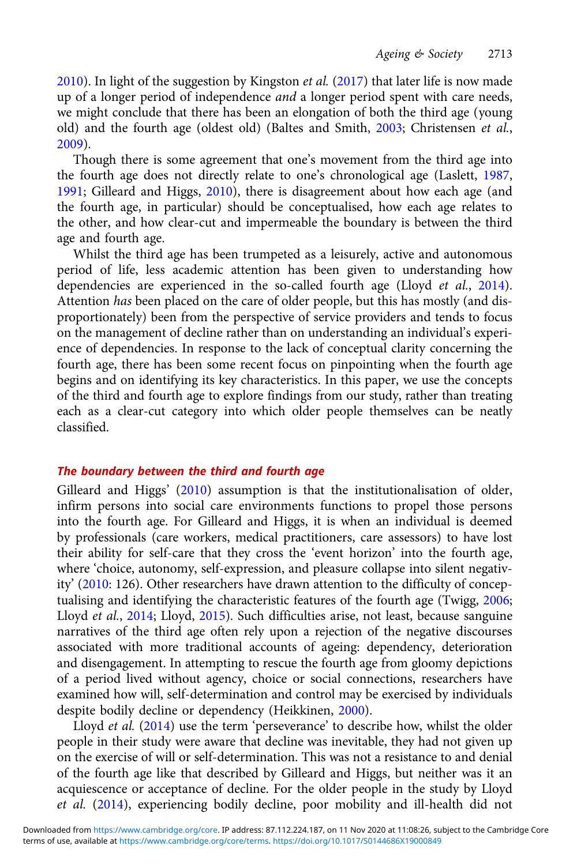$2010$ ). In light of the suggestion by Kingston et al. (2017) that later life is now made up of a longer period of independence and a longer period spent with care needs, we might conclude that there has been an elongation of both the third age (young old) and the fourth age (oldest old) (Baltes and Smith, 2003; Christensen et al., 2009).

Though there is some agreement that one's movement from the third age into the fourth age does not directly relate to one's chronological age (Laslett, 1987, 1991; Gilleard and Higgs, 2010), there is disagreement about how each age (and the fourth age, in particular) should be conceptualised, how each age relates to the other, and how clear-cut and impermeable the boundary is between the third age and fourth age.

Whilst the third age has been trumpeted as a leisurely, active and autonomous period of life, less academic attention has been given to understanding how dependencies are experienced in the so-called fourth age (Lloyd et al., 2014). Attention has been placed on the care of older people, but this has mostly (and disproportionately) been from the perspective of service providers and tends to focus on the management of decline rather than on understanding an individual's experience of dependencies. In response to the lack of conceptual clarity concerning the fourth age, there has been some recent focus on pinpointing when the fourth age begins and on identifying its key characteristics. In this paper, we use the concepts of the third and fourth age to explore findings from our study, rather than treating each as a clear-cut category into which older people themselves can be neatly classified.

#### The boundary between the third and fourth age

Gilleard and Higgs' (2010) assumption is that the institutionalisation of older, infirm persons into social care environments functions to propel those persons into the fourth age. For Gilleard and Higgs, it is when an individual is deemed by professionals (care workers, medical practitioners, care assessors) to have lost their ability for self-care that they cross the 'event horizon' into the fourth age, where 'choice, autonomy, self-expression, and pleasure collapse into silent negativity' (2010: 126). Other researchers have drawn attention to the difficulty of conceptualising and identifying the characteristic features of the fourth age (Twigg, 2006; Lloyd et al., 2014; Lloyd, 2015). Such difficulties arise, not least, because sanguine narratives of the third age often rely upon a rejection of the negative discourses associated with more traditional accounts of ageing: dependency, deterioration and disengagement. In attempting to rescue the fourth age from gloomy depictions of a period lived without agency, choice or social connections, researchers have examined how will, self-determination and control may be exercised by individuals despite bodily decline or dependency (Heikkinen, 2000).

Lloyd et al. (2014) use the term 'perseverance' to describe how, whilst the older people in their study were aware that decline was inevitable, they had not given up on the exercise of will or self-determination. This was not a resistance to and denial of the fourth age like that described by Gilleard and Higgs, but neither was it an acquiescence or acceptance of decline. For the older people in the study by Lloyd et al. (2014), experiencing bodily decline, poor mobility and ill-health did not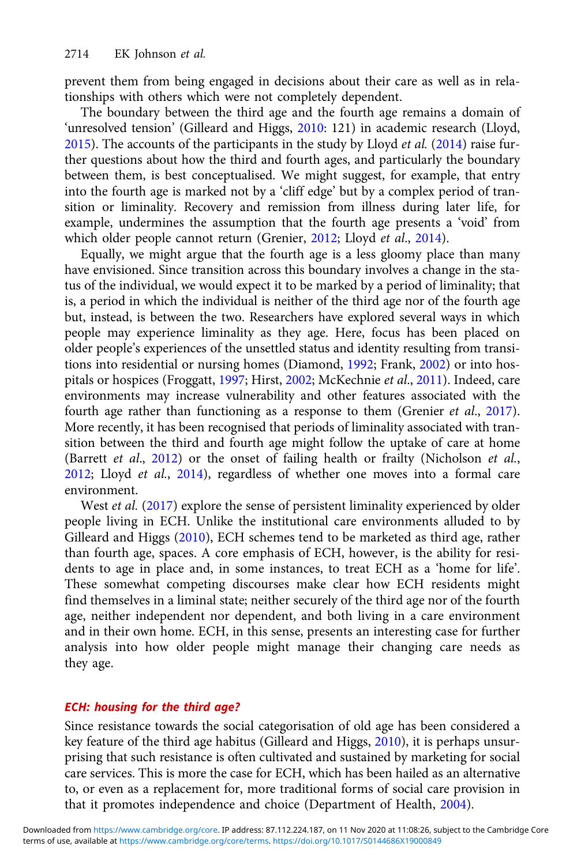prevent them from being engaged in decisions about their care as well as in relationships with others which were not completely dependent.

The boundary between the third age and the fourth age remains a domain of 'unresolved tension' (Gilleard and Higgs, 2010: 121) in academic research (Lloyd, 2015). The accounts of the participants in the study by Lloyd et al. (2014) raise further questions about how the third and fourth ages, and particularly the boundary between them, is best conceptualised. We might suggest, for example, that entry into the fourth age is marked not by a 'cliff edge' but by a complex period of transition or liminality. Recovery and remission from illness during later life, for example, undermines the assumption that the fourth age presents a 'void' from which older people cannot return (Grenier, 2012; Lloyd et al., 2014).

Equally, we might argue that the fourth age is a less gloomy place than many have envisioned. Since transition across this boundary involves a change in the status of the individual, we would expect it to be marked by a period of liminality; that is, a period in which the individual is neither of the third age nor of the fourth age but, instead, is between the two. Researchers have explored several ways in which people may experience liminality as they age. Here, focus has been placed on older people's experiences of the unsettled status and identity resulting from transitions into residential or nursing homes (Diamond, 1992; Frank, 2002) or into hospitals or hospices (Froggatt, 1997; Hirst, 2002; McKechnie et al., 2011). Indeed, care environments may increase vulnerability and other features associated with the fourth age rather than functioning as a response to them (Grenier et al., 2017). More recently, it has been recognised that periods of liminality associated with transition between the third and fourth age might follow the uptake of care at home (Barrett et al., 2012) or the onset of failing health or frailty (Nicholson et al., 2012; Lloyd et al., 2014), regardless of whether one moves into a formal care environment.

West *et al.* (2017) explore the sense of persistent liminality experienced by older people living in ECH. Unlike the institutional care environments alluded to by Gilleard and Higgs (2010), ECH schemes tend to be marketed as third age, rather than fourth age, spaces. A core emphasis of ECH, however, is the ability for residents to age in place and, in some instances, to treat ECH as a 'home for life'. These somewhat competing discourses make clear how ECH residents might find themselves in a liminal state; neither securely of the third age nor of the fourth age, neither independent nor dependent, and both living in a care environment and in their own home. ECH, in this sense, presents an interesting case for further analysis into how older people might manage their changing care needs as they age.

#### ECH: housing for the third age?

Since resistance towards the social categorisation of old age has been considered a key feature of the third age habitus (Gilleard and Higgs, 2010), it is perhaps unsurprising that such resistance is often cultivated and sustained by marketing for social care services. This is more the case for ECH, which has been hailed as an alternative to, or even as a replacement for, more traditional forms of social care provision in that it promotes independence and choice (Department of Health, 2004).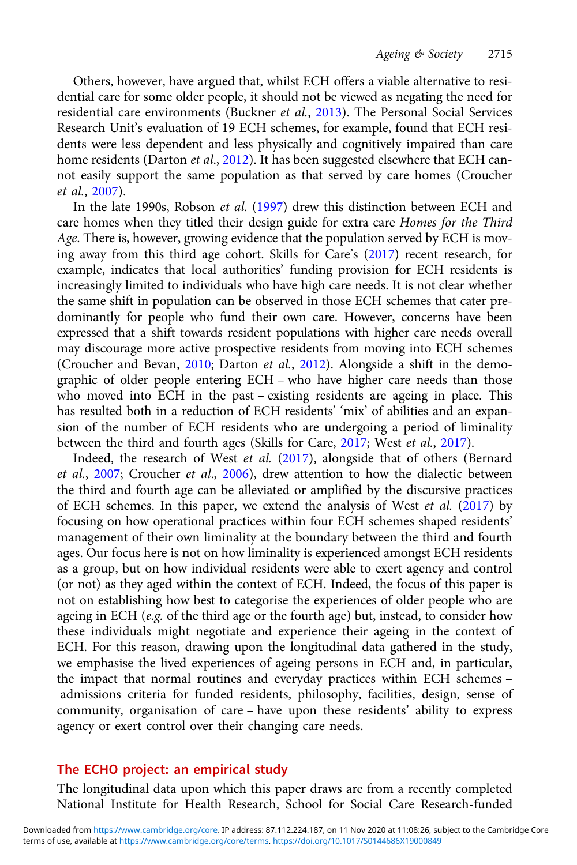Others, however, have argued that, whilst ECH offers a viable alternative to residential care for some older people, it should not be viewed as negating the need for residential care environments (Buckner et al., 2013). The Personal Social Services Research Unit's evaluation of 19 ECH schemes, for example, found that ECH residents were less dependent and less physically and cognitively impaired than care home residents (Darton et al., 2012). It has been suggested elsewhere that ECH cannot easily support the same population as that served by care homes (Croucher et al., 2007).

In the late 1990s, Robson et al. (1997) drew this distinction between ECH and care homes when they titled their design guide for extra care Homes for the Third Age. There is, however, growing evidence that the population served by ECH is moving away from this third age cohort. Skills for Care's (2017) recent research, for example, indicates that local authorities' funding provision for ECH residents is increasingly limited to individuals who have high care needs. It is not clear whether the same shift in population can be observed in those ECH schemes that cater predominantly for people who fund their own care. However, concerns have been expressed that a shift towards resident populations with higher care needs overall may discourage more active prospective residents from moving into ECH schemes (Croucher and Bevan, 2010; Darton et al., 2012). Alongside a shift in the demographic of older people entering ECH – who have higher care needs than those who moved into ECH in the past – existing residents are ageing in place. This has resulted both in a reduction of ECH residents' 'mix' of abilities and an expansion of the number of ECH residents who are undergoing a period of liminality between the third and fourth ages (Skills for Care, 2017; West et al., 2017).

Indeed, the research of West et al. (2017), alongside that of others (Bernard et al., 2007; Croucher et al., 2006), drew attention to how the dialectic between the third and fourth age can be alleviated or amplified by the discursive practices of ECH schemes. In this paper, we extend the analysis of West et al.  $(2017)$  by focusing on how operational practices within four ECH schemes shaped residents' management of their own liminality at the boundary between the third and fourth ages. Our focus here is not on how liminality is experienced amongst ECH residents as a group, but on how individual residents were able to exert agency and control (or not) as they aged within the context of ECH. Indeed, the focus of this paper is not on establishing how best to categorise the experiences of older people who are ageing in ECH (e.g. of the third age or the fourth age) but, instead, to consider how these individuals might negotiate and experience their ageing in the context of ECH. For this reason, drawing upon the longitudinal data gathered in the study, we emphasise the lived experiences of ageing persons in ECH and, in particular, the impact that normal routines and everyday practices within ECH schemes – admissions criteria for funded residents, philosophy, facilities, design, sense of community, organisation of care – have upon these residents' ability to express agency or exert control over their changing care needs.

#### The ECHO project: an empirical study

The longitudinal data upon which this paper draws are from a recently completed National Institute for Health Research, School for Social Care Research-funded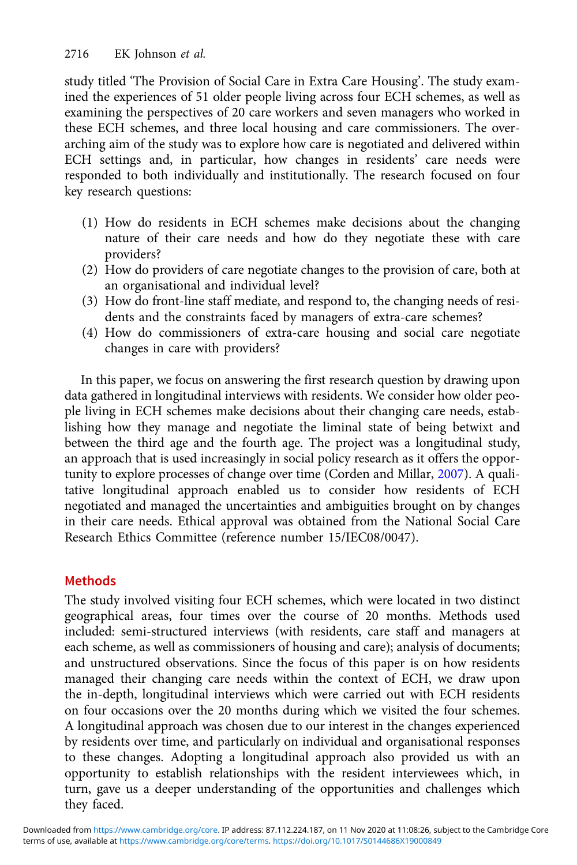study titled 'The Provision of Social Care in Extra Care Housing'. The study examined the experiences of 51 older people living across four ECH schemes, as well as examining the perspectives of 20 care workers and seven managers who worked in these ECH schemes, and three local housing and care commissioners. The overarching aim of the study was to explore how care is negotiated and delivered within ECH settings and, in particular, how changes in residents' care needs were responded to both individually and institutionally. The research focused on four key research questions:

- (1) How do residents in ECH schemes make decisions about the changing nature of their care needs and how do they negotiate these with care providers?
- (2) How do providers of care negotiate changes to the provision of care, both at an organisational and individual level?
- (3) How do front-line staff mediate, and respond to, the changing needs of residents and the constraints faced by managers of extra-care schemes?
- (4) How do commissioners of extra-care housing and social care negotiate changes in care with providers?

In this paper, we focus on answering the first research question by drawing upon data gathered in longitudinal interviews with residents. We consider how older people living in ECH schemes make decisions about their changing care needs, establishing how they manage and negotiate the liminal state of being betwixt and between the third age and the fourth age. The project was a longitudinal study, an approach that is used increasingly in social policy research as it offers the opportunity to explore processes of change over time (Corden and Millar, 2007). A qualitative longitudinal approach enabled us to consider how residents of ECH negotiated and managed the uncertainties and ambiguities brought on by changes in their care needs. Ethical approval was obtained from the National Social Care Research Ethics Committee (reference number 15/IEC08/0047).

#### Methods

The study involved visiting four ECH schemes, which were located in two distinct geographical areas, four times over the course of 20 months. Methods used included: semi-structured interviews (with residents, care staff and managers at each scheme, as well as commissioners of housing and care); analysis of documents; and unstructured observations. Since the focus of this paper is on how residents managed their changing care needs within the context of ECH, we draw upon the in-depth, longitudinal interviews which were carried out with ECH residents on four occasions over the 20 months during which we visited the four schemes. A longitudinal approach was chosen due to our interest in the changes experienced by residents over time, and particularly on individual and organisational responses to these changes. Adopting a longitudinal approach also provided us with an opportunity to establish relationships with the resident interviewees which, in turn, gave us a deeper understanding of the opportunities and challenges which they faced.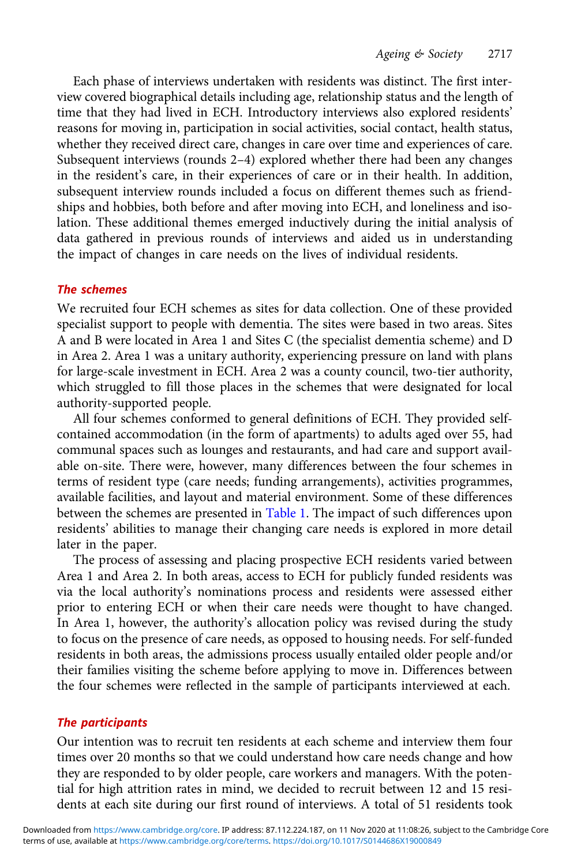Each phase of interviews undertaken with residents was distinct. The first interview covered biographical details including age, relationship status and the length of time that they had lived in ECH. Introductory interviews also explored residents' reasons for moving in, participation in social activities, social contact, health status, whether they received direct care, changes in care over time and experiences of care. Subsequent interviews (rounds 2–4) explored whether there had been any changes in the resident's care, in their experiences of care or in their health. In addition, subsequent interview rounds included a focus on different themes such as friendships and hobbies, both before and after moving into ECH, and loneliness and isolation. These additional themes emerged inductively during the initial analysis of data gathered in previous rounds of interviews and aided us in understanding the impact of changes in care needs on the lives of individual residents.

#### The schemes

We recruited four ECH schemes as sites for data collection. One of these provided specialist support to people with dementia. The sites were based in two areas. Sites A and B were located in Area 1 and Sites C (the specialist dementia scheme) and D in Area 2. Area 1 was a unitary authority, experiencing pressure on land with plans for large-scale investment in ECH. Area 2 was a county council, two-tier authority, which struggled to fill those places in the schemes that were designated for local authority-supported people.

All four schemes conformed to general definitions of ECH. They provided selfcontained accommodation (in the form of apartments) to adults aged over 55, had communal spaces such as lounges and restaurants, and had care and support available on-site. There were, however, many differences between the four schemes in terms of resident type (care needs; funding arrangements), activities programmes, available facilities, and layout and material environment. Some of these differences between the schemes are presented in Table 1. The impact of such differences upon residents' abilities to manage their changing care needs is explored in more detail later in the paper.

The process of assessing and placing prospective ECH residents varied between Area 1 and Area 2. In both areas, access to ECH for publicly funded residents was via the local authority's nominations process and residents were assessed either prior to entering ECH or when their care needs were thought to have changed. In Area 1, however, the authority's allocation policy was revised during the study to focus on the presence of care needs, as opposed to housing needs. For self-funded residents in both areas, the admissions process usually entailed older people and/or their families visiting the scheme before applying to move in. Differences between the four schemes were reflected in the sample of participants interviewed at each.

#### The participants

Our intention was to recruit ten residents at each scheme and interview them four times over 20 months so that we could understand how care needs change and how they are responded to by older people, care workers and managers. With the potential for high attrition rates in mind, we decided to recruit between 12 and 15 residents at each site during our first round of interviews. A total of 51 residents took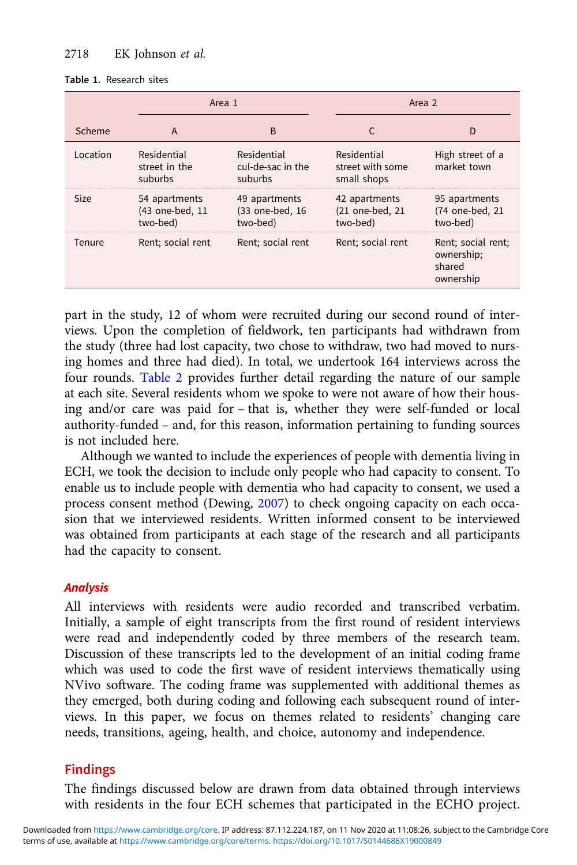| Table 1. Research sites |
|-------------------------|
|-------------------------|

|             | Area 1                                       |                                              | Area 2                                         |                                                         |
|-------------|----------------------------------------------|----------------------------------------------|------------------------------------------------|---------------------------------------------------------|
| Scheme      |                                              | R                                            |                                                |                                                         |
| Location    | Residential<br>street in the<br>suburbs      | Residential<br>cul-de-sac in the<br>suburbs  | Residential<br>street with some<br>small shops | High street of a<br>market town                         |
| <b>Size</b> | 54 apartments<br>(43 one-bed, 11<br>two-bed) | 49 apartments<br>(33 one-bed, 16<br>two-bed) | 42 apartments<br>(21 one-bed, 21<br>two-bed)   | 95 apartments<br>(74 one-bed, 21<br>two-bed)            |
| Tenure      | Rent; social rent                            | Rent; social rent                            | Rent; social rent                              | Rent; social rent;<br>ownership;<br>shared<br>ownership |

part in the study, 12 of whom were recruited during our second round of interviews. Upon the completion of fieldwork, ten participants had withdrawn from the study (three had lost capacity, two chose to withdraw, two had moved to nursing homes and three had died). In total, we undertook 164 interviews across the four rounds. Table 2 provides further detail regarding the nature of our sample at each site. Several residents whom we spoke to were not aware of how their housing and/or care was paid for – that is, whether they were self-funded or local authority-funded – and, for this reason, information pertaining to funding sources is not included here.

Although we wanted to include the experiences of people with dementia living in ECH, we took the decision to include only people who had capacity to consent. To enable us to include people with dementia who had capacity to consent, we used a process consent method (Dewing, 2007) to check ongoing capacity on each occasion that we interviewed residents. Written informed consent to be interviewed was obtained from participants at each stage of the research and all participants had the capacity to consent.

#### Analysis

All interviews with residents were audio recorded and transcribed verbatim. Initially, a sample of eight transcripts from the first round of resident interviews were read and independently coded by three members of the research team. Discussion of these transcripts led to the development of an initial coding frame which was used to code the first wave of resident interviews thematically using NVivo software. The coding frame was supplemented with additional themes as they emerged, both during coding and following each subsequent round of interviews. In this paper, we focus on themes related to residents' changing care needs, transitions, ageing, health, and choice, autonomy and independence.

#### Findings

The findings discussed below are drawn from data obtained through interviews with residents in the four ECH schemes that participated in the ECHO project.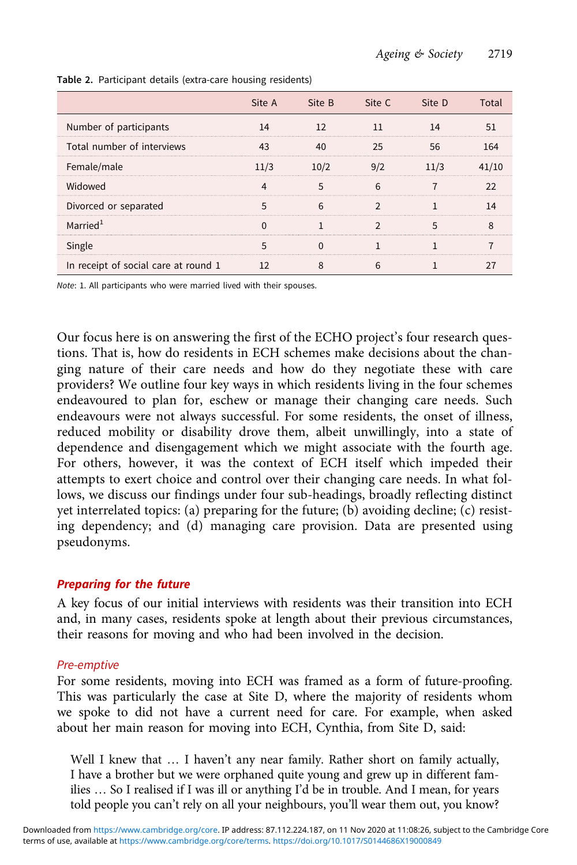|                                      | Site A | Site B Site C | Site D | Total |
|--------------------------------------|--------|---------------|--------|-------|
| Number of participants               |        |               |        |       |
| Total number of interviews           |        |               | 56     |       |
| Female/male                          |        |               |        |       |
| Widowed                              |        |               |        |       |
| Divorced or separated                |        |               |        |       |
| Married $1$                          |        |               |        |       |
| Single                               |        |               |        |       |
| In receipt of social care at round 1 |        |               |        |       |

Table 2. Participant details (extra-care housing residents)

Note: 1. All participants who were married lived with their spouses.

Our focus here is on answering the first of the ECHO project's four research questions. That is, how do residents in ECH schemes make decisions about the changing nature of their care needs and how do they negotiate these with care providers? We outline four key ways in which residents living in the four schemes endeavoured to plan for, eschew or manage their changing care needs. Such endeavours were not always successful. For some residents, the onset of illness, reduced mobility or disability drove them, albeit unwillingly, into a state of dependence and disengagement which we might associate with the fourth age. For others, however, it was the context of ECH itself which impeded their attempts to exert choice and control over their changing care needs. In what follows, we discuss our findings under four sub-headings, broadly reflecting distinct yet interrelated topics: (a) preparing for the future; (b) avoiding decline; (c) resisting dependency; and (d) managing care provision. Data are presented using pseudonyms.

#### Preparing for the future

A key focus of our initial interviews with residents was their transition into ECH and, in many cases, residents spoke at length about their previous circumstances, their reasons for moving and who had been involved in the decision.

#### Pre-emptive

For some residents, moving into ECH was framed as a form of future-proofing. This was particularly the case at Site D, where the majority of residents whom we spoke to did not have a current need for care. For example, when asked about her main reason for moving into ECH, Cynthia, from Site D, said:

Well I knew that ... I haven't any near family. Rather short on family actually, I have a brother but we were orphaned quite young and grew up in different families … So I realised if I was ill or anything I'd be in trouble. And I mean, for years told people you can't rely on all your neighbours, you'll wear them out, you know?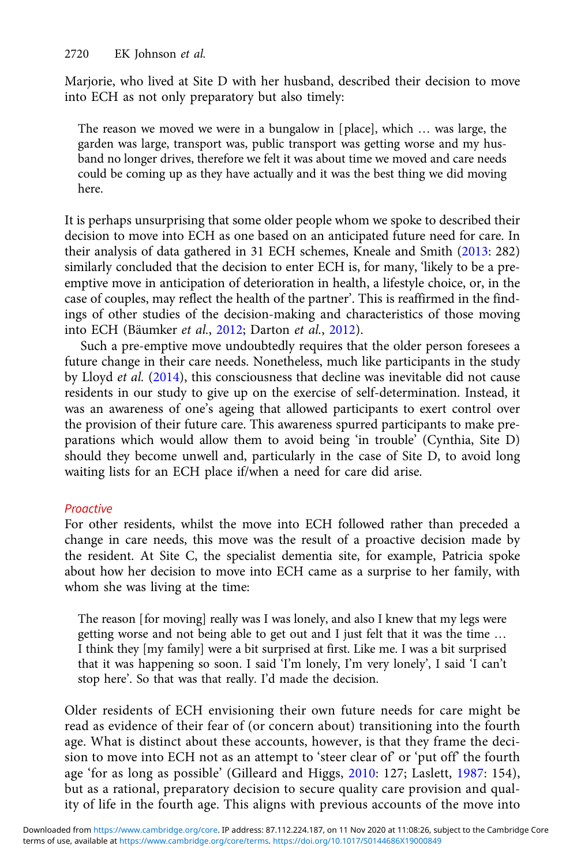Marjorie, who lived at Site D with her husband, described their decision to move into ECH as not only preparatory but also timely:

The reason we moved we were in a bungalow in [place], which … was large, the garden was large, transport was, public transport was getting worse and my husband no longer drives, therefore we felt it was about time we moved and care needs could be coming up as they have actually and it was the best thing we did moving here.

It is perhaps unsurprising that some older people whom we spoke to described their decision to move into ECH as one based on an anticipated future need for care. In their analysis of data gathered in 31 ECH schemes, Kneale and Smith (2013: 282) similarly concluded that the decision to enter ECH is, for many, 'likely to be a preemptive move in anticipation of deterioration in health, a lifestyle choice, or, in the case of couples, may reflect the health of the partner'. This is reaffirmed in the findings of other studies of the decision-making and characteristics of those moving into ECH (Bäumker et al., 2012; Darton et al., 2012).

Such a pre-emptive move undoubtedly requires that the older person foresees a future change in their care needs. Nonetheless, much like participants in the study by Lloyd et al. (2014), this consciousness that decline was inevitable did not cause residents in our study to give up on the exercise of self-determination. Instead, it was an awareness of one's ageing that allowed participants to exert control over the provision of their future care. This awareness spurred participants to make preparations which would allow them to avoid being 'in trouble' (Cynthia, Site D) should they become unwell and, particularly in the case of Site D, to avoid long waiting lists for an ECH place if/when a need for care did arise.

#### Proactive

For other residents, whilst the move into ECH followed rather than preceded a change in care needs, this move was the result of a proactive decision made by the resident. At Site C, the specialist dementia site, for example, Patricia spoke about how her decision to move into ECH came as a surprise to her family, with whom she was living at the time:

The reason [for moving] really was I was lonely, and also I knew that my legs were getting worse and not being able to get out and I just felt that it was the time … I think they [my family] were a bit surprised at first. Like me. I was a bit surprised that it was happening so soon. I said 'I'm lonely, I'm very lonely', I said 'I can't stop here'. So that was that really. I'd made the decision.

Older residents of ECH envisioning their own future needs for care might be read as evidence of their fear of (or concern about) transitioning into the fourth age. What is distinct about these accounts, however, is that they frame the decision to move into ECH not as an attempt to 'steer clear of' or 'put off' the fourth age 'for as long as possible' (Gilleard and Higgs, 2010: 127; Laslett, 1987: 154), but as a rational, preparatory decision to secure quality care provision and quality of life in the fourth age. This aligns with previous accounts of the move into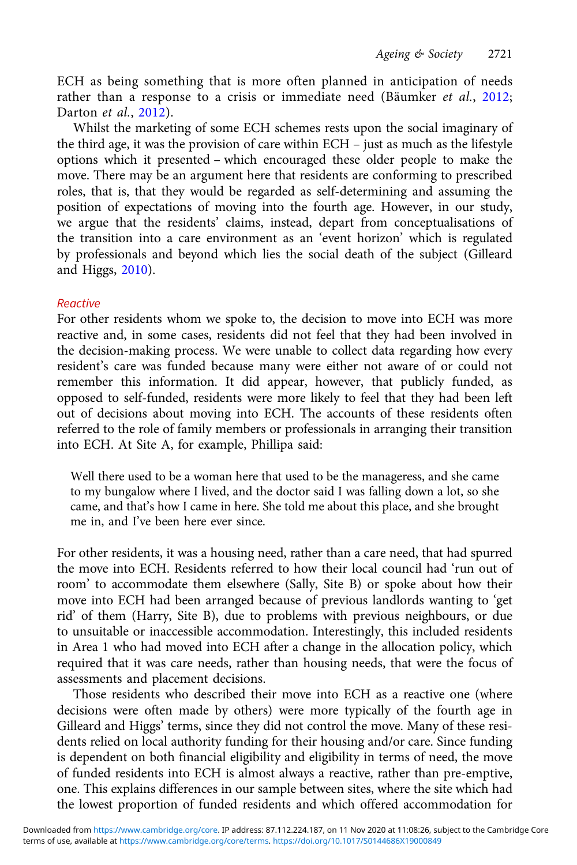ECH as being something that is more often planned in anticipation of needs rather than a response to a crisis or immediate need (Bäumker et al., 2012; Darton et al., 2012).

Whilst the marketing of some ECH schemes rests upon the social imaginary of the third age, it was the provision of care within ECH – just as much as the lifestyle options which it presented – which encouraged these older people to make the move. There may be an argument here that residents are conforming to prescribed roles, that is, that they would be regarded as self-determining and assuming the position of expectations of moving into the fourth age. However, in our study, we argue that the residents' claims, instead, depart from conceptualisations of the transition into a care environment as an 'event horizon' which is regulated by professionals and beyond which lies the social death of the subject (Gilleard and Higgs, 2010).

#### Reactive

For other residents whom we spoke to, the decision to move into ECH was more reactive and, in some cases, residents did not feel that they had been involved in the decision-making process. We were unable to collect data regarding how every resident's care was funded because many were either not aware of or could not remember this information. It did appear, however, that publicly funded, as opposed to self-funded, residents were more likely to feel that they had been left out of decisions about moving into ECH. The accounts of these residents often referred to the role of family members or professionals in arranging their transition into ECH. At Site A, for example, Phillipa said:

Well there used to be a woman here that used to be the manageress, and she came to my bungalow where I lived, and the doctor said I was falling down a lot, so she came, and that's how I came in here. She told me about this place, and she brought me in, and I've been here ever since.

For other residents, it was a housing need, rather than a care need, that had spurred the move into ECH. Residents referred to how their local council had 'run out of room' to accommodate them elsewhere (Sally, Site B) or spoke about how their move into ECH had been arranged because of previous landlords wanting to 'get rid' of them (Harry, Site B), due to problems with previous neighbours, or due to unsuitable or inaccessible accommodation. Interestingly, this included residents in Area 1 who had moved into ECH after a change in the allocation policy, which required that it was care needs, rather than housing needs, that were the focus of assessments and placement decisions.

Those residents who described their move into ECH as a reactive one (where decisions were often made by others) were more typically of the fourth age in Gilleard and Higgs' terms, since they did not control the move. Many of these residents relied on local authority funding for their housing and/or care. Since funding is dependent on both financial eligibility and eligibility in terms of need, the move of funded residents into ECH is almost always a reactive, rather than pre-emptive, one. This explains differences in our sample between sites, where the site which had the lowest proportion of funded residents and which offered accommodation for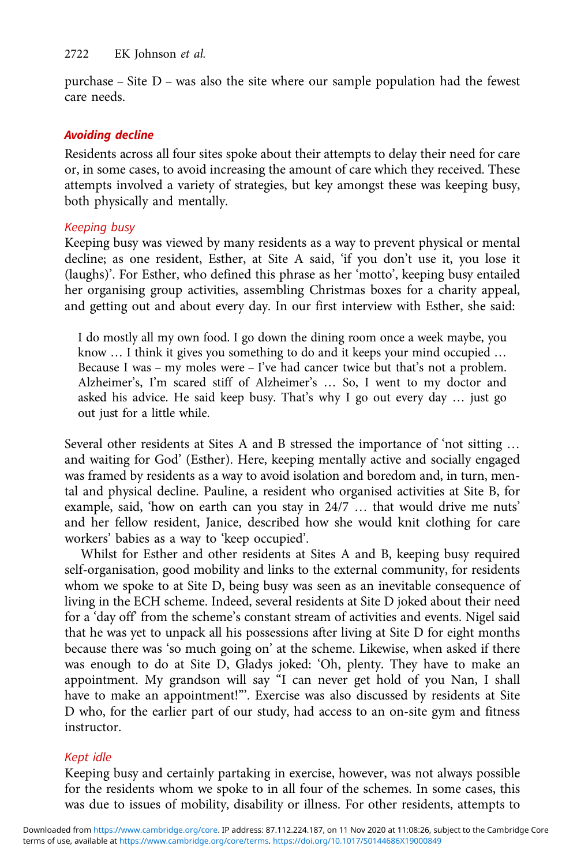purchase – Site D – was also the site where our sample population had the fewest care needs.

#### Avoiding decline

Residents across all four sites spoke about their attempts to delay their need for care or, in some cases, to avoid increasing the amount of care which they received. These attempts involved a variety of strategies, but key amongst these was keeping busy, both physically and mentally.

#### Keeping busy

Keeping busy was viewed by many residents as a way to prevent physical or mental decline; as one resident, Esther, at Site A said, 'if you don't use it, you lose it (laughs)'. For Esther, who defined this phrase as her 'motto', keeping busy entailed her organising group activities, assembling Christmas boxes for a charity appeal, and getting out and about every day. In our first interview with Esther, she said:

I do mostly all my own food. I go down the dining room once a week maybe, you know … I think it gives you something to do and it keeps your mind occupied … Because I was – my moles were – I've had cancer twice but that's not a problem. Alzheimer's, I'm scared stiff of Alzheimer's … So, I went to my doctor and asked his advice. He said keep busy. That's why I go out every day … just go out just for a little while.

Several other residents at Sites A and B stressed the importance of 'not sitting … and waiting for God' (Esther). Here, keeping mentally active and socially engaged was framed by residents as a way to avoid isolation and boredom and, in turn, mental and physical decline. Pauline, a resident who organised activities at Site B, for example, said, 'how on earth can you stay in 24/7 … that would drive me nuts' and her fellow resident, Janice, described how she would knit clothing for care workers' babies as a way to 'keep occupied'.

Whilst for Esther and other residents at Sites A and B, keeping busy required self-organisation, good mobility and links to the external community, for residents whom we spoke to at Site D, being busy was seen as an inevitable consequence of living in the ECH scheme. Indeed, several residents at Site D joked about their need for a 'day off' from the scheme's constant stream of activities and events. Nigel said that he was yet to unpack all his possessions after living at Site D for eight months because there was 'so much going on' at the scheme. Likewise, when asked if there was enough to do at Site D, Gladys joked: 'Oh, plenty. They have to make an appointment. My grandson will say "I can never get hold of you Nan, I shall have to make an appointment!"'. Exercise was also discussed by residents at Site D who, for the earlier part of our study, had access to an on-site gym and fitness instructor.

#### Kept idle

Keeping busy and certainly partaking in exercise, however, was not always possible for the residents whom we spoke to in all four of the schemes. In some cases, this was due to issues of mobility, disability or illness. For other residents, attempts to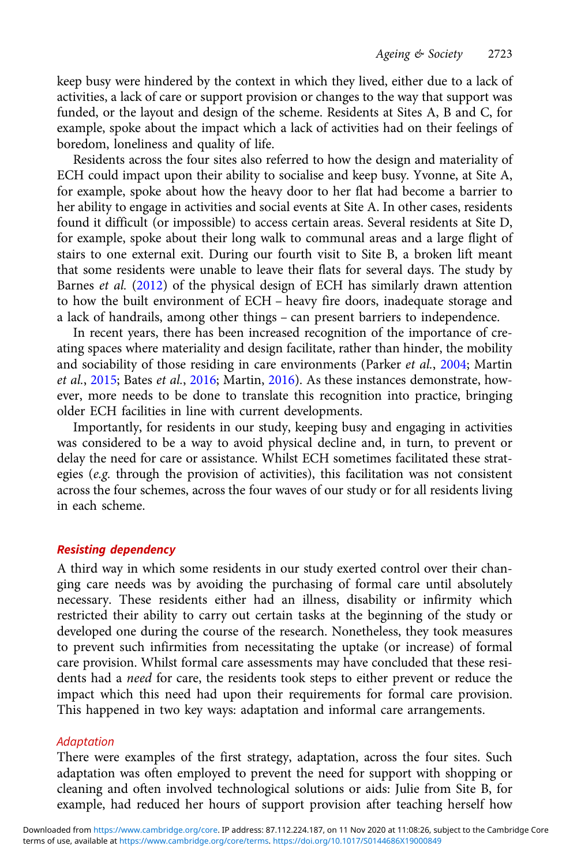keep busy were hindered by the context in which they lived, either due to a lack of activities, a lack of care or support provision or changes to the way that support was funded, or the layout and design of the scheme. Residents at Sites A, B and C, for example, spoke about the impact which a lack of activities had on their feelings of boredom, loneliness and quality of life.

Residents across the four sites also referred to how the design and materiality of ECH could impact upon their ability to socialise and keep busy. Yvonne, at Site A, for example, spoke about how the heavy door to her flat had become a barrier to her ability to engage in activities and social events at Site A. In other cases, residents found it difficult (or impossible) to access certain areas. Several residents at Site D, for example, spoke about their long walk to communal areas and a large flight of stairs to one external exit. During our fourth visit to Site B, a broken lift meant that some residents were unable to leave their flats for several days. The study by Barnes et al. (2012) of the physical design of ECH has similarly drawn attention to how the built environment of ECH – heavy fire doors, inadequate storage and a lack of handrails, among other things – can present barriers to independence.

In recent years, there has been increased recognition of the importance of creating spaces where materiality and design facilitate, rather than hinder, the mobility and sociability of those residing in care environments (Parker et al., 2004; Martin et al., 2015; Bates et al., 2016; Martin, 2016). As these instances demonstrate, however, more needs to be done to translate this recognition into practice, bringing older ECH facilities in line with current developments.

Importantly, for residents in our study, keeping busy and engaging in activities was considered to be a way to avoid physical decline and, in turn, to prevent or delay the need for care or assistance. Whilst ECH sometimes facilitated these strategies (e.g. through the provision of activities), this facilitation was not consistent across the four schemes, across the four waves of our study or for all residents living in each scheme.

#### Resisting dependency

A third way in which some residents in our study exerted control over their changing care needs was by avoiding the purchasing of formal care until absolutely necessary. These residents either had an illness, disability or infirmity which restricted their ability to carry out certain tasks at the beginning of the study or developed one during the course of the research. Nonetheless, they took measures to prevent such infirmities from necessitating the uptake (or increase) of formal care provision. Whilst formal care assessments may have concluded that these residents had a need for care, the residents took steps to either prevent or reduce the impact which this need had upon their requirements for formal care provision. This happened in two key ways: adaptation and informal care arrangements.

#### Adaptation

There were examples of the first strategy, adaptation, across the four sites. Such adaptation was often employed to prevent the need for support with shopping or cleaning and often involved technological solutions or aids: Julie from Site B, for example, had reduced her hours of support provision after teaching herself how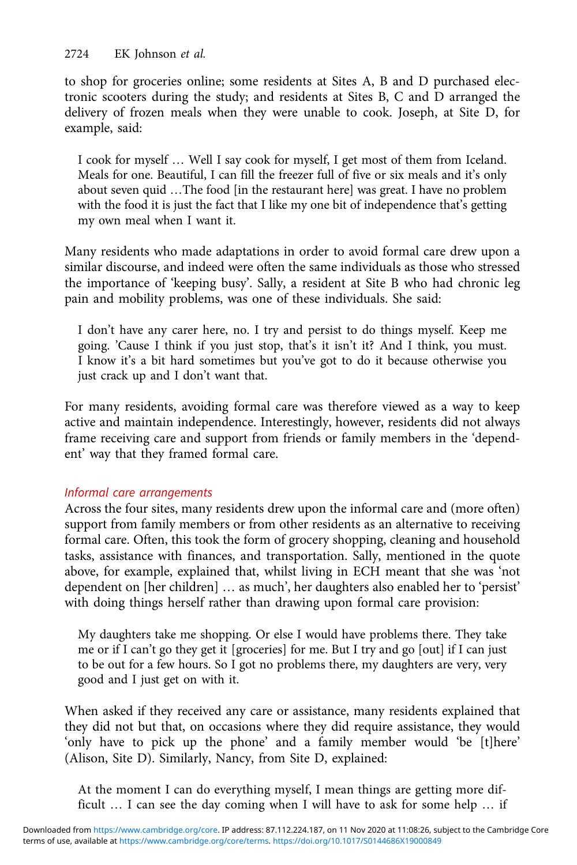to shop for groceries online; some residents at Sites A, B and D purchased electronic scooters during the study; and residents at Sites B, C and D arranged the delivery of frozen meals when they were unable to cook. Joseph, at Site D, for example, said:

I cook for myself … Well I say cook for myself, I get most of them from Iceland. Meals for one. Beautiful, I can fill the freezer full of five or six meals and it's only about seven quid …The food [in the restaurant here] was great. I have no problem with the food it is just the fact that I like my one bit of independence that's getting my own meal when I want it.

Many residents who made adaptations in order to avoid formal care drew upon a similar discourse, and indeed were often the same individuals as those who stressed the importance of 'keeping busy'. Sally, a resident at Site B who had chronic leg pain and mobility problems, was one of these individuals. She said:

I don't have any carer here, no. I try and persist to do things myself. Keep me going. 'Cause I think if you just stop, that's it isn't it? And I think, you must. I know it's a bit hard sometimes but you've got to do it because otherwise you just crack up and I don't want that.

For many residents, avoiding formal care was therefore viewed as a way to keep active and maintain independence. Interestingly, however, residents did not always frame receiving care and support from friends or family members in the 'dependent' way that they framed formal care.

#### Informal care arrangements

Across the four sites, many residents drew upon the informal care and (more often) support from family members or from other residents as an alternative to receiving formal care. Often, this took the form of grocery shopping, cleaning and household tasks, assistance with finances, and transportation. Sally, mentioned in the quote above, for example, explained that, whilst living in ECH meant that she was 'not dependent on [her children] … as much', her daughters also enabled her to 'persist' with doing things herself rather than drawing upon formal care provision:

My daughters take me shopping. Or else I would have problems there. They take me or if I can't go they get it [groceries] for me. But I try and go [out] if I can just to be out for a few hours. So I got no problems there, my daughters are very, very good and I just get on with it.

When asked if they received any care or assistance, many residents explained that they did not but that, on occasions where they did require assistance, they would 'only have to pick up the phone' and a family member would 'be [t]here' (Alison, Site D). Similarly, Nancy, from Site D, explained:

At the moment I can do everything myself, I mean things are getting more difficult … I can see the day coming when I will have to ask for some help … if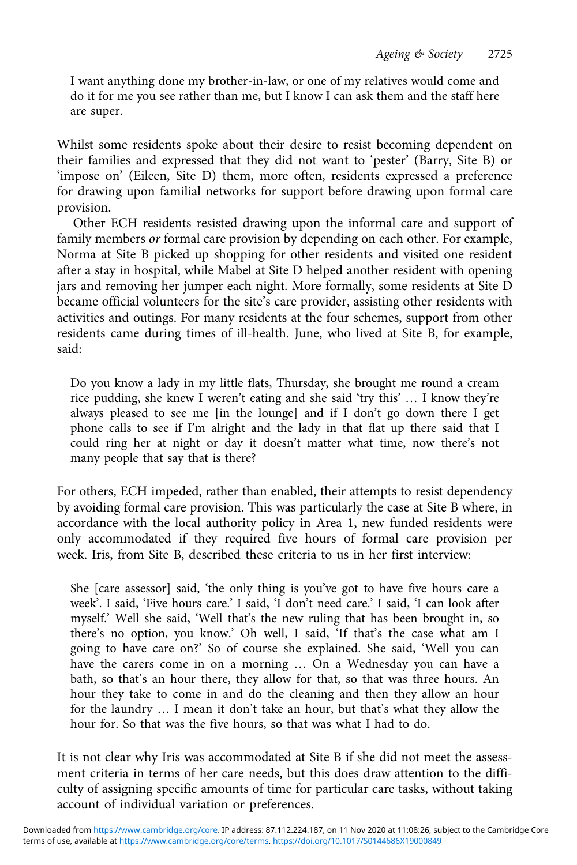I want anything done my brother-in-law, or one of my relatives would come and do it for me you see rather than me, but I know I can ask them and the staff here are super.

Whilst some residents spoke about their desire to resist becoming dependent on their families and expressed that they did not want to 'pester' (Barry, Site B) or 'impose on' (Eileen, Site D) them, more often, residents expressed a preference for drawing upon familial networks for support before drawing upon formal care provision.

Other ECH residents resisted drawing upon the informal care and support of family members or formal care provision by depending on each other. For example, Norma at Site B picked up shopping for other residents and visited one resident after a stay in hospital, while Mabel at Site D helped another resident with opening jars and removing her jumper each night. More formally, some residents at Site D became official volunteers for the site's care provider, assisting other residents with activities and outings. For many residents at the four schemes, support from other residents came during times of ill-health. June, who lived at Site B, for example, said:

Do you know a lady in my little flats, Thursday, she brought me round a cream rice pudding, she knew I weren't eating and she said 'try this' … I know they're always pleased to see me [in the lounge] and if I don't go down there I get phone calls to see if I'm alright and the lady in that flat up there said that I could ring her at night or day it doesn't matter what time, now there's not many people that say that is there?

For others, ECH impeded, rather than enabled, their attempts to resist dependency by avoiding formal care provision. This was particularly the case at Site B where, in accordance with the local authority policy in Area 1, new funded residents were only accommodated if they required five hours of formal care provision per week. Iris, from Site B, described these criteria to us in her first interview:

She [care assessor] said, 'the only thing is you've got to have five hours care a week'. I said, 'Five hours care.' I said, 'I don't need care.' I said, 'I can look after myself.' Well she said, 'Well that's the new ruling that has been brought in, so there's no option, you know.' Oh well, I said, 'If that's the case what am I going to have care on?' So of course she explained. She said, 'Well you can have the carers come in on a morning … On a Wednesday you can have a bath, so that's an hour there, they allow for that, so that was three hours. An hour they take to come in and do the cleaning and then they allow an hour for the laundry … I mean it don't take an hour, but that's what they allow the hour for. So that was the five hours, so that was what I had to do.

It is not clear why Iris was accommodated at Site B if she did not meet the assessment criteria in terms of her care needs, but this does draw attention to the difficulty of assigning specific amounts of time for particular care tasks, without taking account of individual variation or preferences.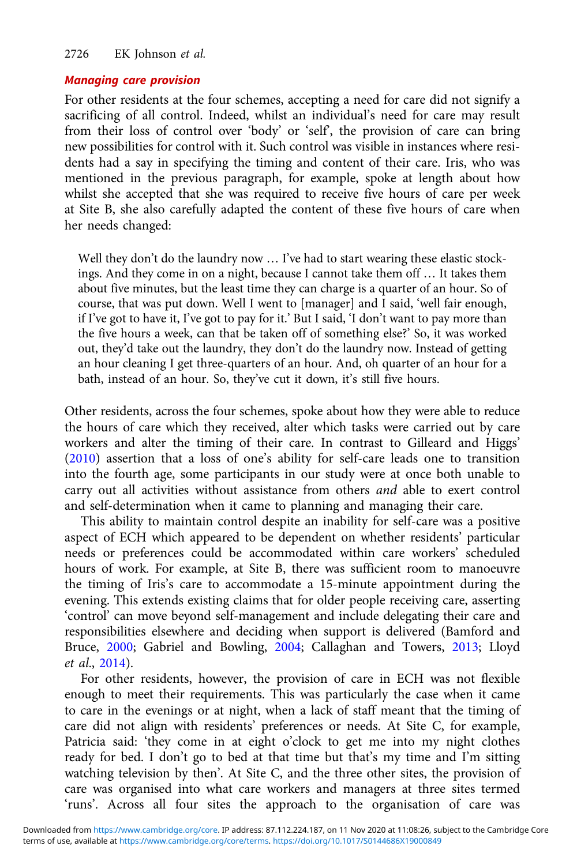#### 2726 EK Johnson et al.

#### Managing care provision

For other residents at the four schemes, accepting a need for care did not signify a sacrificing of all control. Indeed, whilst an individual's need for care may result from their loss of control over 'body' or 'self', the provision of care can bring new possibilities for control with it. Such control was visible in instances where residents had a say in specifying the timing and content of their care. Iris, who was mentioned in the previous paragraph, for example, spoke at length about how whilst she accepted that she was required to receive five hours of care per week at Site B, she also carefully adapted the content of these five hours of care when her needs changed:

Well they don't do the laundry now ... I've had to start wearing these elastic stockings. And they come in on a night, because I cannot take them off … It takes them about five minutes, but the least time they can charge is a quarter of an hour. So of course, that was put down. Well I went to [manager] and I said, 'well fair enough, if I've got to have it, I've got to pay for it.' But I said, 'I don't want to pay more than the five hours a week, can that be taken off of something else?' So, it was worked out, they'd take out the laundry, they don't do the laundry now. Instead of getting an hour cleaning I get three-quarters of an hour. And, oh quarter of an hour for a bath, instead of an hour. So, they've cut it down, it's still five hours.

Other residents, across the four schemes, spoke about how they were able to reduce the hours of care which they received, alter which tasks were carried out by care workers and alter the timing of their care. In contrast to Gilleard and Higgs' (2010) assertion that a loss of one's ability for self-care leads one to transition into the fourth age, some participants in our study were at once both unable to carry out all activities without assistance from others and able to exert control and self-determination when it came to planning and managing their care.

This ability to maintain control despite an inability for self-care was a positive aspect of ECH which appeared to be dependent on whether residents' particular needs or preferences could be accommodated within care workers' scheduled hours of work. For example, at Site B, there was sufficient room to manoeuvre the timing of Iris's care to accommodate a 15-minute appointment during the evening. This extends existing claims that for older people receiving care, asserting 'control' can move beyond self-management and include delegating their care and responsibilities elsewhere and deciding when support is delivered (Bamford and Bruce, 2000; Gabriel and Bowling, 2004; Callaghan and Towers, 2013; Lloyd et al., 2014).

For other residents, however, the provision of care in ECH was not flexible enough to meet their requirements. This was particularly the case when it came to care in the evenings or at night, when a lack of staff meant that the timing of care did not align with residents' preferences or needs. At Site C, for example, Patricia said: 'they come in at eight o'clock to get me into my night clothes ready for bed. I don't go to bed at that time but that's my time and I'm sitting watching television by then'. At Site C, and the three other sites, the provision of care was organised into what care workers and managers at three sites termed 'runs'. Across all four sites the approach to the organisation of care was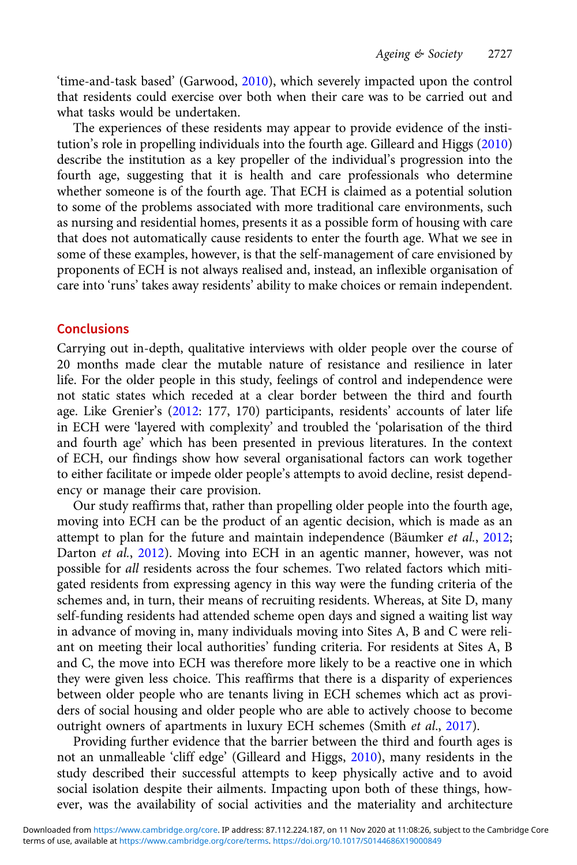'time-and-task based' (Garwood, 2010), which severely impacted upon the control that residents could exercise over both when their care was to be carried out and what tasks would be undertaken.

The experiences of these residents may appear to provide evidence of the institution's role in propelling individuals into the fourth age. Gilleard and Higgs (2010) describe the institution as a key propeller of the individual's progression into the fourth age, suggesting that it is health and care professionals who determine whether someone is of the fourth age. That ECH is claimed as a potential solution to some of the problems associated with more traditional care environments, such as nursing and residential homes, presents it as a possible form of housing with care that does not automatically cause residents to enter the fourth age. What we see in some of these examples, however, is that the self-management of care envisioned by proponents of ECH is not always realised and, instead, an inflexible organisation of care into 'runs' takes away residents' ability to make choices or remain independent.

#### **Conclusions**

Carrying out in-depth, qualitative interviews with older people over the course of 20 months made clear the mutable nature of resistance and resilience in later life. For the older people in this study, feelings of control and independence were not static states which receded at a clear border between the third and fourth age. Like Grenier's (2012: 177, 170) participants, residents' accounts of later life in ECH were 'layered with complexity' and troubled the 'polarisation of the third and fourth age' which has been presented in previous literatures. In the context of ECH, our findings show how several organisational factors can work together to either facilitate or impede older people's attempts to avoid decline, resist dependency or manage their care provision.

Our study reaffirms that, rather than propelling older people into the fourth age, moving into ECH can be the product of an agentic decision, which is made as an attempt to plan for the future and maintain independence (Bäumker et al., 2012; Darton et al., 2012). Moving into ECH in an agentic manner, however, was not possible for all residents across the four schemes. Two related factors which mitigated residents from expressing agency in this way were the funding criteria of the schemes and, in turn, their means of recruiting residents. Whereas, at Site D, many self-funding residents had attended scheme open days and signed a waiting list way in advance of moving in, many individuals moving into Sites A, B and C were reliant on meeting their local authorities' funding criteria. For residents at Sites A, B and C, the move into ECH was therefore more likely to be a reactive one in which they were given less choice. This reaffirms that there is a disparity of experiences between older people who are tenants living in ECH schemes which act as providers of social housing and older people who are able to actively choose to become outright owners of apartments in luxury ECH schemes (Smith et al., 2017).

Providing further evidence that the barrier between the third and fourth ages is not an unmalleable 'cliff edge' (Gilleard and Higgs, 2010), many residents in the study described their successful attempts to keep physically active and to avoid social isolation despite their ailments. Impacting upon both of these things, however, was the availability of social activities and the materiality and architecture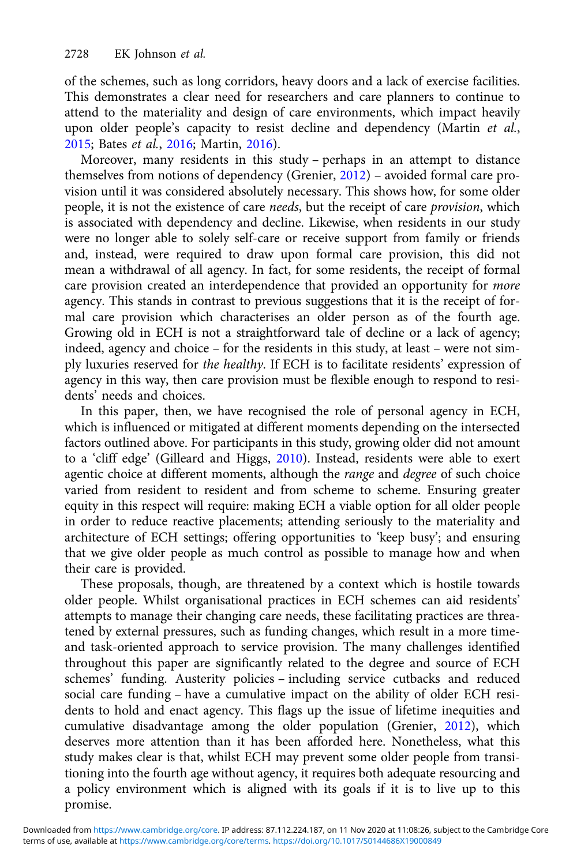of the schemes, such as long corridors, heavy doors and a lack of exercise facilities. This demonstrates a clear need for researchers and care planners to continue to attend to the materiality and design of care environments, which impact heavily upon older people's capacity to resist decline and dependency (Martin et al., 2015; Bates et al., 2016; Martin, 2016).

Moreover, many residents in this study – perhaps in an attempt to distance themselves from notions of dependency (Grenier, 2012) – avoided formal care provision until it was considered absolutely necessary. This shows how, for some older people, it is not the existence of care needs, but the receipt of care provision, which is associated with dependency and decline. Likewise, when residents in our study were no longer able to solely self-care or receive support from family or friends and, instead, were required to draw upon formal care provision, this did not mean a withdrawal of all agency. In fact, for some residents, the receipt of formal care provision created an interdependence that provided an opportunity for more agency. This stands in contrast to previous suggestions that it is the receipt of formal care provision which characterises an older person as of the fourth age. Growing old in ECH is not a straightforward tale of decline or a lack of agency; indeed, agency and choice – for the residents in this study, at least – were not simply luxuries reserved for the healthy. If ECH is to facilitate residents' expression of agency in this way, then care provision must be flexible enough to respond to residents' needs and choices.

In this paper, then, we have recognised the role of personal agency in ECH, which is influenced or mitigated at different moments depending on the intersected factors outlined above. For participants in this study, growing older did not amount to a 'cliff edge' (Gilleard and Higgs, 2010). Instead, residents were able to exert agentic choice at different moments, although the range and degree of such choice varied from resident to resident and from scheme to scheme. Ensuring greater equity in this respect will require: making ECH a viable option for all older people in order to reduce reactive placements; attending seriously to the materiality and architecture of ECH settings; offering opportunities to 'keep busy'; and ensuring that we give older people as much control as possible to manage how and when their care is provided.

These proposals, though, are threatened by a context which is hostile towards older people. Whilst organisational practices in ECH schemes can aid residents' attempts to manage their changing care needs, these facilitating practices are threatened by external pressures, such as funding changes, which result in a more timeand task-oriented approach to service provision. The many challenges identified throughout this paper are significantly related to the degree and source of ECH schemes' funding. Austerity policies – including service cutbacks and reduced social care funding – have a cumulative impact on the ability of older ECH residents to hold and enact agency. This flags up the issue of lifetime inequities and cumulative disadvantage among the older population (Grenier, 2012), which deserves more attention than it has been afforded here. Nonetheless, what this study makes clear is that, whilst ECH may prevent some older people from transitioning into the fourth age without agency, it requires both adequate resourcing and a policy environment which is aligned with its goals if it is to live up to this promise.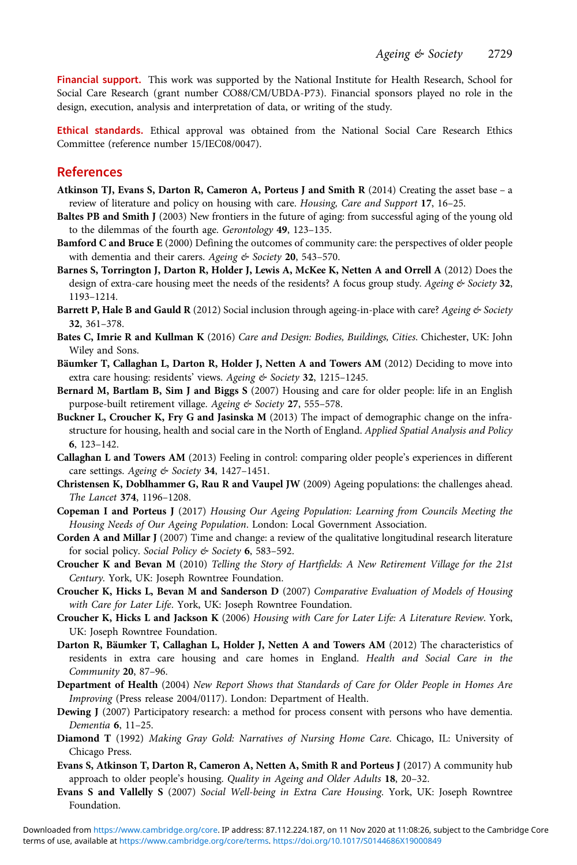Financial support. This work was supported by the National Institute for Health Research, School for Social Care Research (grant number CO88/CM/UBDA-P73). Financial sponsors played no role in the design, execution, analysis and interpretation of data, or writing of the study.

Ethical standards. Ethical approval was obtained from the National Social Care Research Ethics Committee (reference number 15/IEC08/0047).

#### References

- Atkinson TJ, Evans S, Darton R, Cameron A, Porteus J and Smith R (2014) Creating the asset base a review of literature and policy on housing with care. Housing, Care and Support 17, 16–25.
- Baltes PB and Smith J (2003) New frontiers in the future of aging: from successful aging of the young old to the dilemmas of the fourth age. Gerontology 49, 123–135.
- Bamford C and Bruce E (2000) Defining the outcomes of community care: the perspectives of older people with dementia and their carers. Ageing & Society 20, 543-570.
- Barnes S, Torrington J, Darton R, Holder J, Lewis A, McKee K, Netten A and Orrell A (2012) Does the design of extra-care housing meet the needs of the residents? A focus group study. Ageing & Society 32, 1193–1214.
- Barrett P, Hale B and Gauld R (2012) Social inclusion through ageing-in-place with care? Ageing  $\phi$  Society 32, 361–378.
- Bates C, Imrie R and Kullman K (2016) Care and Design: Bodies, Buildings, Cities. Chichester, UK: John Wiley and Sons.
- Bäumker T, Callaghan L, Darton R, Holder J, Netten A and Towers AM (2012) Deciding to move into extra care housing: residents' views. Ageing & Society 32, 1215-1245.
- Bernard M, Bartlam B, Sim J and Biggs S (2007) Housing and care for older people: life in an English purpose-built retirement village. Ageing & Society 27, 555-578.
- Buckner L, Croucher K, Fry G and Jasinska M (2013) The impact of demographic change on the infrastructure for housing, health and social care in the North of England. Applied Spatial Analysis and Policy 6, 123–142.
- Callaghan L and Towers AM (2013) Feeling in control: comparing older people's experiences in different care settings. Ageing & Society 34, 1427-1451.
- Christensen K, Doblhammer G, Rau R and Vaupel JW (2009) Ageing populations: the challenges ahead. The Lancet 374, 1196–1208.
- Copeman I and Porteus J (2017) Housing Our Ageing Population: Learning from Councils Meeting the Housing Needs of Our Ageing Population. London: Local Government Association.
- Corden A and Millar J (2007) Time and change: a review of the qualitative longitudinal research literature for social policy. Social Policy & Society 6, 583–592.
- Croucher K and Bevan M (2010) Telling the Story of Hartfields: A New Retirement Village for the 21st Century. York, UK: Joseph Rowntree Foundation.
- Croucher K, Hicks L, Bevan M and Sanderson D (2007) Comparative Evaluation of Models of Housing with Care for Later Life. York, UK: Joseph Rowntree Foundation.
- Croucher K, Hicks L and Jackson K (2006) Housing with Care for Later Life: A Literature Review. York, UK: Joseph Rowntree Foundation.
- Darton R, Bäumker T, Callaghan L, Holder J, Netten A and Towers AM (2012) The characteristics of residents in extra care housing and care homes in England. Health and Social Care in the Community 20, 87–96.
- Department of Health (2004) New Report Shows that Standards of Care for Older People in Homes Are Improving (Press release 2004/0117). London: Department of Health.
- Dewing J (2007) Participatory research: a method for process consent with persons who have dementia. Dementia 6, 11–25.
- Diamond T (1992) Making Gray Gold: Narratives of Nursing Home Care. Chicago, IL: University of Chicago Press.
- Evans S, Atkinson T, Darton R, Cameron A, Netten A, Smith R and Porteus J (2017) A community hub approach to older people's housing. Quality in Ageing and Older Adults 18, 20–32.
- Evans S and Vallelly S (2007) Social Well-being in Extra Care Housing. York, UK: Joseph Rowntree Foundation.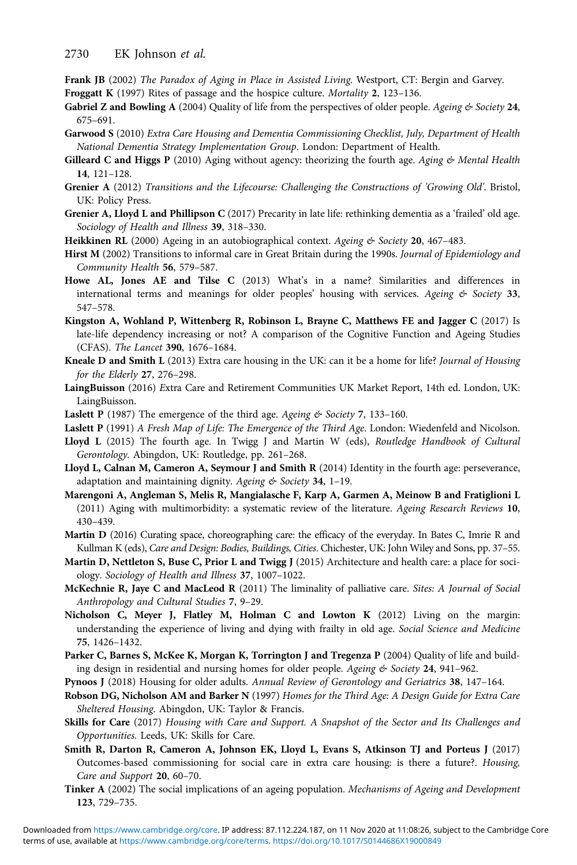- Frank JB (2002) The Paradox of Aging in Place in Assisted Living. Westport, CT: Bergin and Garvey. Froggatt K (1997) Rites of passage and the hospice culture. Mortality 2, 123–136.
- Gabriel Z and Bowling A (2004) Quality of life from the perspectives of older people. Ageing  $\&$  Society 24, 675–691.
- Garwood S (2010) Extra Care Housing and Dementia Commissioning Checklist, July, Department of Health National Dementia Strategy Implementation Group. London: Department of Health.
- Gilleard C and Higgs P (2010) Aging without agency: theorizing the fourth age. Aging  $\&$  Mental Health 14, 121–128.
- Grenier A (2012) Transitions and the Lifecourse: Challenging the Constructions of 'Growing Old'. Bristol, UK: Policy Press.
- Grenier A, Lloyd L and Phillipson C (2017) Precarity in late life: rethinking dementia as a 'frailed' old age. Sociology of Health and Illness 39, 318–330.
- Heikkinen RL (2000) Ageing in an autobiographical context. Ageing  $&$  Society 20, 467-483.
- Hirst M (2002) Transitions to informal care in Great Britain during the 1990s. Journal of Epidemiology and Community Health 56, 579–587.
- Howe AL, Jones AE and Tilse C (2013) What's in a name? Similarities and differences in international terms and meanings for older peoples' housing with services. Ageing  $\phi$  Society 33, 547–578.
- Kingston A, Wohland P, Wittenberg R, Robinson L, Brayne C, Matthews FE and Jagger C (2017) Is late-life dependency increasing or not? A comparison of the Cognitive Function and Ageing Studies (CFAS). The Lancet 390, 1676–1684.
- Kneale D and Smith L (2013) Extra care housing in the UK: can it be a home for life? Journal of Housing for the Elderly 27, 276–298.
- LaingBuisson (2016) Extra Care and Retirement Communities UK Market Report, 14th ed. London, UK: LaingBuisson.
- Laslett P (1987) The emergence of the third age. Ageing & Society 7, 133-160.
- Laslett P (1991) A Fresh Map of Life: The Emergence of the Third Age. London: Wiedenfeld and Nicolson.
- Lloyd L (2015) The fourth age. In Twigg J and Martin W (eds), Routledge Handbook of Cultural Gerontology. Abingdon, UK: Routledge, pp. 261–268.
- Lloyd L, Calnan M, Cameron A, Seymour J and Smith R (2014) Identity in the fourth age: perseverance, adaptation and maintaining dignity. Ageing  $&$  Society 34, 1-19.
- Marengoni A, Angleman S, Melis R, Mangialasche F, Karp A, Garmen A, Meinow B and Fratiglioni L (2011) Aging with multimorbidity: a systematic review of the literature. Ageing Research Reviews 10, 430–439.
- Martin D (2016) Curating space, choreographing care: the efficacy of the everyday. In Bates C, Imrie R and Kullman K (eds), Care and Design: Bodies, Buildings, Cities. Chichester, UK: John Wiley and Sons, pp. 37-55.
- Martin D, Nettleton S, Buse C, Prior L and Twigg J (2015) Architecture and health care: a place for sociology. Sociology of Health and Illness 37, 1007–1022.
- McKechnie R, Jaye C and MacLeod R (2011) The liminality of palliative care. Sites: A Journal of Social Anthropology and Cultural Studies 7, 9–29.
- Nicholson C, Meyer J, Flatley M, Holman C and Lowton K (2012) Living on the margin: understanding the experience of living and dying with frailty in old age. Social Science and Medicine 75, 1426–1432.
- Parker C, Barnes S, McKee K, Morgan K, Torrington J and Tregenza P (2004) Quality of life and building design in residential and nursing homes for older people. Ageing & Society 24, 941-962.
- Pynoos J (2018) Housing for older adults. Annual Review of Gerontology and Geriatrics 38, 147–164.
- Robson DG, Nicholson AM and Barker N (1997) Homes for the Third Age: A Design Guide for Extra Care Sheltered Housing. Abingdon, UK: Taylor & Francis.
- Skills for Care (2017) Housing with Care and Support. A Snapshot of the Sector and Its Challenges and Opportunities. Leeds, UK: Skills for Care.
- Smith R, Darton R, Cameron A, Johnson EK, Lloyd L, Evans S, Atkinson TJ and Porteus J (2017) Outcomes-based commissioning for social care in extra care housing: is there a future?. Housing, Care and Support 20, 60–70.
- Tinker A (2002) The social implications of an ageing population. Mechanisms of Ageing and Development 123, 729–735.